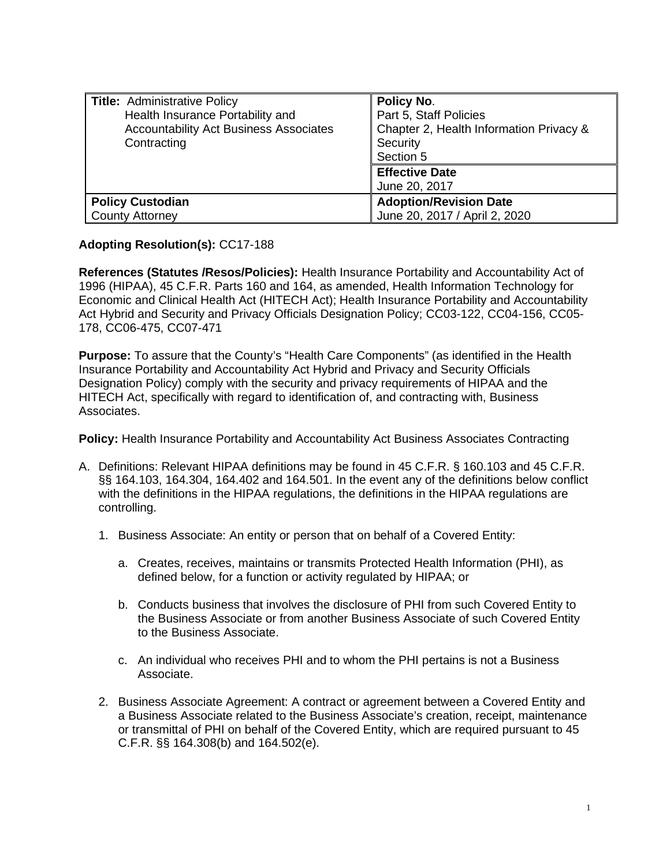| Title: Administrative Policy                  | Policy No.                              |
|-----------------------------------------------|-----------------------------------------|
| Health Insurance Portability and              | Part 5, Staff Policies                  |
| <b>Accountability Act Business Associates</b> | Chapter 2, Health Information Privacy & |
| Contracting                                   | Security                                |
|                                               | Section 5                               |
|                                               | <b>Effective Date</b>                   |
|                                               | June 20, 2017                           |
| <b>Policy Custodian</b>                       | <b>Adoption/Revision Date</b>           |
| <b>County Attorney</b>                        | June 20, 2017 / April 2, 2020           |

## **Adopting Resolution(s):** CC17-188

**References (Statutes /Resos/Policies):** Health Insurance Portability and Accountability Act of 1996 (HIPAA), 45 C.F.R. Parts 160 and 164, as amended, Health Information Technology for Economic and Clinical Health Act (HITECH Act); Health Insurance Portability and Accountability Act Hybrid and Security and Privacy Officials Designation Policy; CC03-122, CC04-156, CC05- 178, CC06-475, CC07-471

**Purpose:** To assure that the County's "Health Care Components" (as identified in the Health Insurance Portability and Accountability Act Hybrid and Privacy and Security Officials Designation Policy) comply with the security and privacy requirements of HIPAA and the HITECH Act, specifically with regard to identification of, and contracting with, Business Associates.

**Policy:** Health Insurance Portability and Accountability Act Business Associates Contracting

- A. Definitions: Relevant HIPAA definitions may be found in 45 C.F.R. § 160.103 and 45 C.F.R. §§ 164.103, 164.304, 164.402 and 164.501. In the event any of the definitions below conflict with the definitions in the HIPAA regulations, the definitions in the HIPAA regulations are controlling.
	- 1. Business Associate: An entity or person that on behalf of a Covered Entity:
		- a. Creates, receives, maintains or transmits Protected Health Information (PHI), as defined below, for a function or activity regulated by HIPAA; or
		- b. Conducts business that involves the disclosure of PHI from such Covered Entity to the Business Associate or from another Business Associate of such Covered Entity to the Business Associate.
		- c. An individual who receives PHI and to whom the PHI pertains is not a Business Associate.
	- 2. Business Associate Agreement: A contract or agreement between a Covered Entity and a Business Associate related to the Business Associate's creation, receipt, maintenance or transmittal of PHI on behalf of the Covered Entity, which are required pursuant to 45 C.F.R. §§ 164.308(b) and 164.502(e).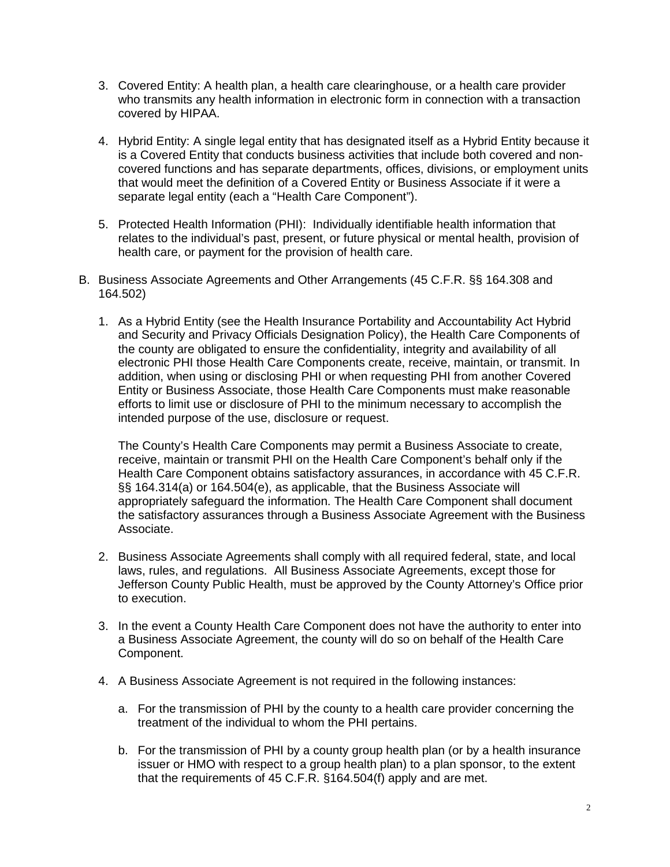- 3. Covered Entity: A health plan, a health care clearinghouse, or a health care provider who transmits any health information in electronic form in connection with a transaction covered by HIPAA.
- 4. Hybrid Entity: A single legal entity that has designated itself as a Hybrid Entity because it is a Covered Entity that conducts business activities that include both covered and noncovered functions and has separate departments, offices, divisions, or employment units that would meet the definition of a Covered Entity or Business Associate if it were a separate legal entity (each a "Health Care Component").
- 5. Protected Health Information (PHI): Individually identifiable health information that relates to the individual's past, present, or future physical or mental health, provision of health care, or payment for the provision of health care.
- B. Business Associate Agreements and Other Arrangements (45 C.F.R. §§ 164.308 and 164.502)
	- 1. As a Hybrid Entity (see the Health Insurance Portability and Accountability Act Hybrid and Security and Privacy Officials Designation Policy), the Health Care Components of the county are obligated to ensure the confidentiality, integrity and availability of all electronic PHI those Health Care Components create, receive, maintain, or transmit. In addition, when using or disclosing PHI or when requesting PHI from another Covered Entity or Business Associate, those Health Care Components must make reasonable efforts to limit use or disclosure of PHI to the minimum necessary to accomplish the intended purpose of the use, disclosure or request.

The County's Health Care Components may permit a Business Associate to create, receive, maintain or transmit PHI on the Health Care Component's behalf only if the Health Care Component obtains satisfactory assurances, in accordance with 45 C.F.R. §§ 164.314(a) or 164.504(e), as applicable, that the Business Associate will appropriately safeguard the information. The Health Care Component shall document the satisfactory assurances through a Business Associate Agreement with the Business Associate.

- 2. Business Associate Agreements shall comply with all required federal, state, and local laws, rules, and regulations. All Business Associate Agreements, except those for Jefferson County Public Health, must be approved by the County Attorney's Office prior to execution.
- 3. In the event a County Health Care Component does not have the authority to enter into a Business Associate Agreement, the county will do so on behalf of the Health Care Component.
- 4. A Business Associate Agreement is not required in the following instances:
	- a. For the transmission of PHI by the county to a health care provider concerning the treatment of the individual to whom the PHI pertains.
	- b. For the transmission of PHI by a county group health plan (or by a health insurance issuer or HMO with respect to a group health plan) to a plan sponsor, to the extent that the requirements of 45 C.F.R. §164.504(f) apply and are met.